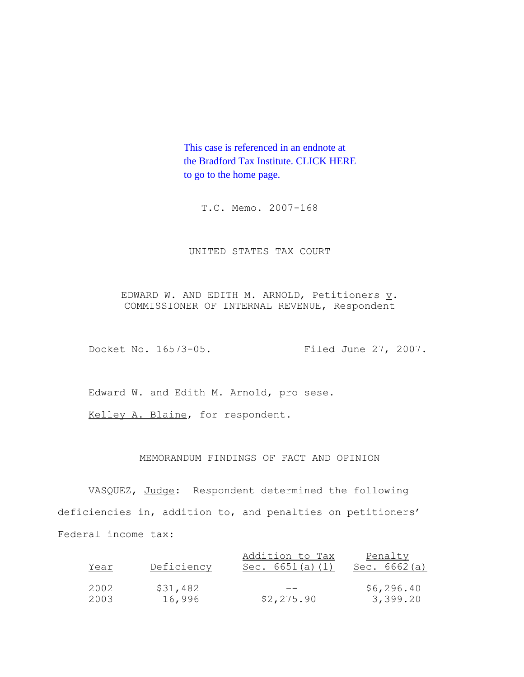This case is referenced in an endnote at [the Bradford Tax Institute. CLICK HERE](http://www.bradfordtaxinstitute.com/)  to go to the home page.

T.C. Memo. 2007-168

UNITED STATES TAX COURT

EDWARD W. AND EDITH M. ARNOLD, Petitioners  $\underline{v}$ . COMMISSIONER OF INTERNAL REVENUE, Respondent

Docket No. 16573-05. Filed June 27, 2007.

Edward W. and Edith M. Arnold, pro sese.

Kelley A. Blaine, for respondent.

## MEMORANDUM FINDINGS OF FACT AND OPINION

VASQUEZ, Judge: Respondent determined the following deficiencies in, addition to, and penalties on petitioners' Federal income tax:

|      |            | Addition to Tax    | Penalty        |
|------|------------|--------------------|----------------|
| Year | Deficiency | Sec. $6651(a) (1)$ | Sec. $6662(a)$ |
|      |            |                    |                |
| 2002 | \$31,482   |                    | \$6,296.40     |
| 2003 | 16,996     | \$2,275.90         | 3,399.20       |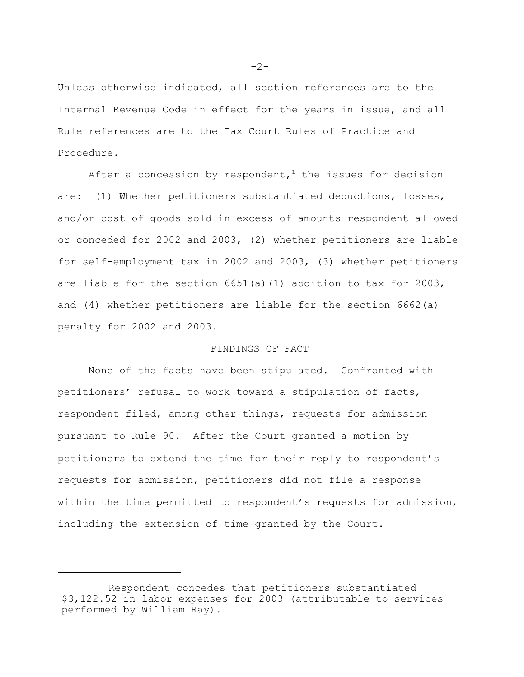Unless otherwise indicated, all section references are to the Internal Revenue Code in effect for the years in issue, and all Rule references are to the Tax Court Rules of Practice and Procedure.

After a concession by respondent,<sup>1</sup> the issues for decision are: (1) Whether petitioners substantiated deductions, losses, and/or cost of goods sold in excess of amounts respondent allowed or conceded for 2002 and 2003, (2) whether petitioners are liable for self-employment tax in 2002 and 2003, (3) whether petitioners are liable for the section  $6651(a)(1)$  addition to tax for 2003, and (4) whether petitioners are liable for the section 6662(a) penalty for 2002 and 2003.

## FINDINGS OF FACT

None of the facts have been stipulated. Confronted with petitioners' refusal to work toward a stipulation of facts, respondent filed, among other things, requests for admission pursuant to Rule 90. After the Court granted a motion by petitioners to extend the time for their reply to respondent's requests for admission, petitioners did not file a response within the time permitted to respondent's requests for admission, including the extension of time granted by the Court.

 $-2-$ 

<sup>&</sup>lt;sup>1</sup> Respondent concedes that petitioners substantiated \$3,122.52 in labor expenses for 2003 (attributable to services performed by William Ray).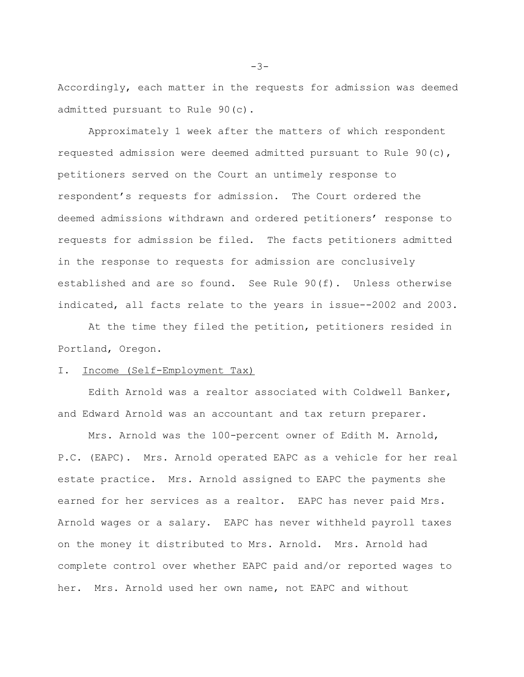Accordingly, each matter in the requests for admission was deemed admitted pursuant to Rule 90(c).

Approximately 1 week after the matters of which respondent requested admission were deemed admitted pursuant to Rule 90(c), petitioners served on the Court an untimely response to respondent's requests for admission. The Court ordered the deemed admissions withdrawn and ordered petitioners' response to requests for admission be filed. The facts petitioners admitted in the response to requests for admission are conclusively established and are so found. See Rule 90(f). Unless otherwise indicated, all facts relate to the years in issue--2002 and 2003.

At the time they filed the petition, petitioners resided in Portland, Oregon.

#### I. Income (Self-Employment Tax)

Edith Arnold was a realtor associated with Coldwell Banker, and Edward Arnold was an accountant and tax return preparer.

Mrs. Arnold was the 100-percent owner of Edith M. Arnold, P.C. (EAPC). Mrs. Arnold operated EAPC as a vehicle for her real estate practice. Mrs. Arnold assigned to EAPC the payments she earned for her services as a realtor. EAPC has never paid Mrs. Arnold wages or a salary. EAPC has never withheld payroll taxes on the money it distributed to Mrs. Arnold. Mrs. Arnold had complete control over whether EAPC paid and/or reported wages to her. Mrs. Arnold used her own name, not EAPC and without

 $-3-$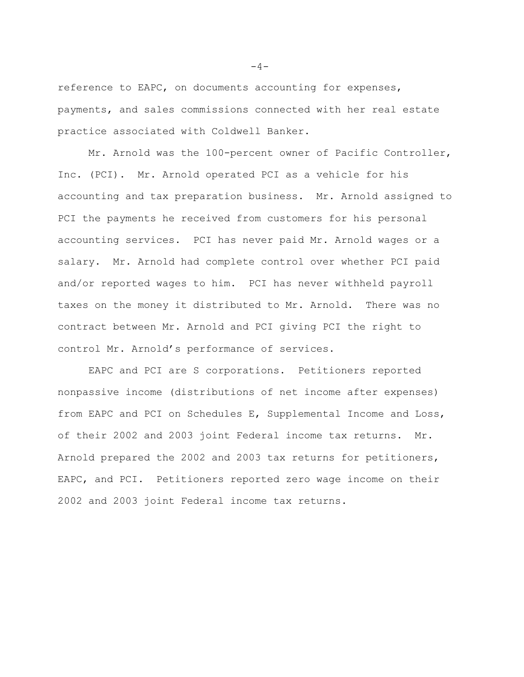reference to EAPC, on documents accounting for expenses, payments, and sales commissions connected with her real estate practice associated with Coldwell Banker.

Mr. Arnold was the 100-percent owner of Pacific Controller, Inc. (PCI). Mr. Arnold operated PCI as a vehicle for his accounting and tax preparation business. Mr. Arnold assigned to PCI the payments he received from customers for his personal accounting services. PCI has never paid Mr. Arnold wages or a salary. Mr. Arnold had complete control over whether PCI paid and/or reported wages to him. PCI has never withheld payroll taxes on the money it distributed to Mr. Arnold. There was no contract between Mr. Arnold and PCI giving PCI the right to control Mr. Arnold's performance of services.

EAPC and PCI are S corporations. Petitioners reported nonpassive income (distributions of net income after expenses) from EAPC and PCI on Schedules E, Supplemental Income and Loss, of their 2002 and 2003 joint Federal income tax returns. Mr. Arnold prepared the 2002 and 2003 tax returns for petitioners, EAPC, and PCI. Petitioners reported zero wage income on their 2002 and 2003 joint Federal income tax returns.

 $-4-$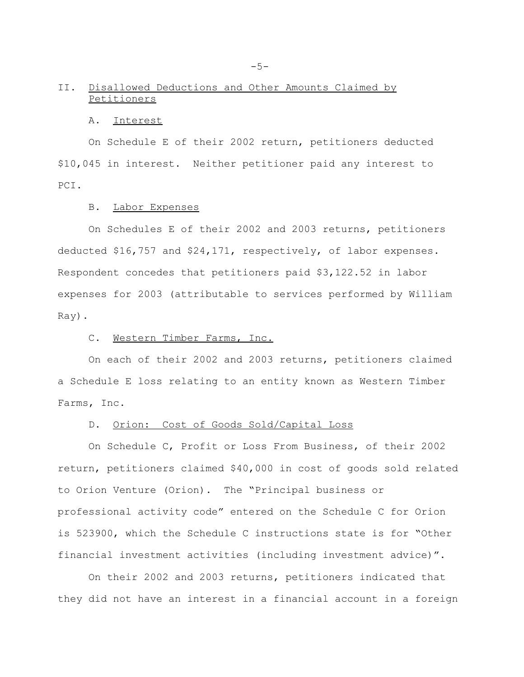## II. Disallowed Deductions and Other Amounts Claimed by Petitioners

#### A. Interest

On Schedule E of their 2002 return, petitioners deducted \$10,045 in interest. Neither petitioner paid any interest to PCI.

#### B. Labor Expenses

On Schedules E of their 2002 and 2003 returns, petitioners deducted \$16,757 and \$24,171, respectively, of labor expenses. Respondent concedes that petitioners paid \$3,122.52 in labor expenses for 2003 (attributable to services performed by William Ray).

## C. Western Timber Farms, Inc.

On each of their 2002 and 2003 returns, petitioners claimed a Schedule E loss relating to an entity known as Western Timber Farms, Inc.

#### D. Orion: Cost of Goods Sold/Capital Loss

On Schedule C, Profit or Loss From Business, of their 2002 return, petitioners claimed \$40,000 in cost of goods sold related to Orion Venture (Orion). The "Principal business or professional activity code" entered on the Schedule C for Orion is 523900, which the Schedule C instructions state is for "Other financial investment activities (including investment advice)".

On their 2002 and 2003 returns, petitioners indicated that they did not have an interest in a financial account in a foreign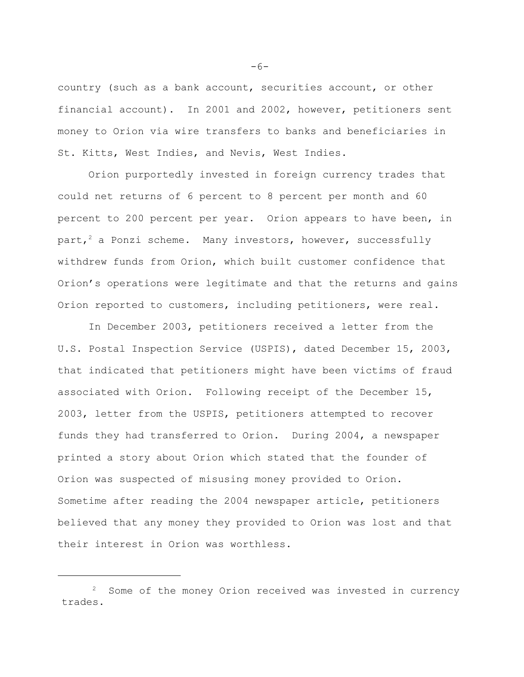country (such as a bank account, securities account, or other financial account). In 2001 and 2002, however, petitioners sent money to Orion via wire transfers to banks and beneficiaries in St. Kitts, West Indies, and Nevis, West Indies.

Orion purportedly invested in foreign currency trades that could net returns of 6 percent to 8 percent per month and 60 percent to 200 percent per year. Orion appears to have been, in part,<sup>2</sup> a Ponzi scheme. Many investors, however, successfully withdrew funds from Orion, which built customer confidence that Orion's operations were legitimate and that the returns and gains Orion reported to customers, including petitioners, were real.

In December 2003, petitioners received a letter from the U.S. Postal Inspection Service (USPIS), dated December 15, 2003, that indicated that petitioners might have been victims of fraud associated with Orion. Following receipt of the December 15, 2003, letter from the USPIS, petitioners attempted to recover funds they had transferred to Orion. During 2004, a newspaper printed a story about Orion which stated that the founder of Orion was suspected of misusing money provided to Orion. Sometime after reading the 2004 newspaper article, petitioners believed that any money they provided to Orion was lost and that their interest in Orion was worthless.

 $-6-$ 

<sup>&</sup>lt;sup>2</sup> Some of the money Orion received was invested in currency trades.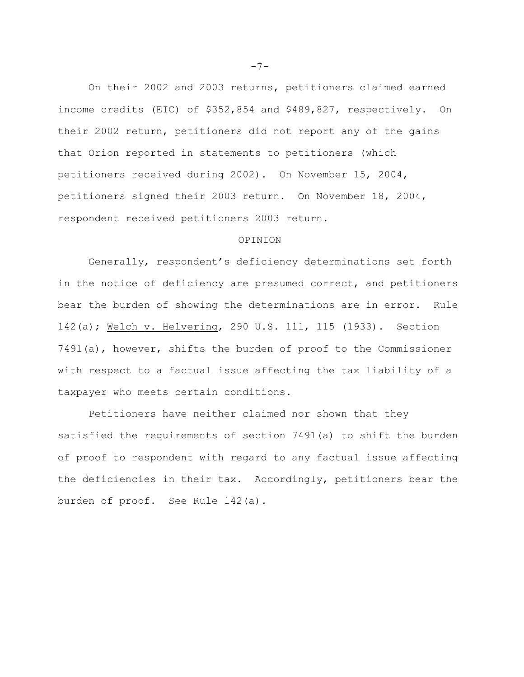On their 2002 and 2003 returns, petitioners claimed earned income credits (EIC) of \$352,854 and \$489,827, respectively. On their 2002 return, petitioners did not report any of the gains that Orion reported in statements to petitioners (which petitioners received during 2002). On November 15, 2004, petitioners signed their 2003 return. On November 18, 2004, respondent received petitioners 2003 return.

#### OPINION

Generally, respondent's deficiency determinations set forth in the notice of deficiency are presumed correct, and petitioners bear the burden of showing the determinations are in error. Rule 142(a); Welch v. Helvering, 290 U.S. 111, 115 (1933). Section 7491(a), however, shifts the burden of proof to the Commissioner with respect to a factual issue affecting the tax liability of a taxpayer who meets certain conditions.

Petitioners have neither claimed nor shown that they satisfied the requirements of section 7491(a) to shift the burden of proof to respondent with regard to any factual issue affecting the deficiencies in their tax. Accordingly, petitioners bear the burden of proof. See Rule 142(a).

 $-7-$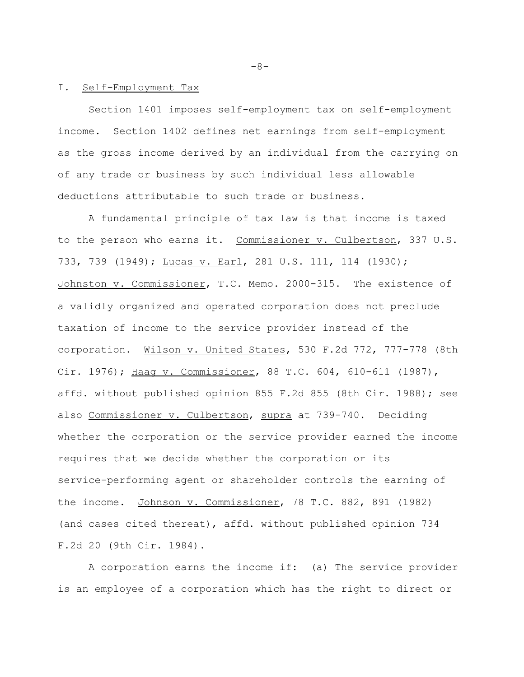#### I. Self-Employment Tax

Section 1401 imposes self-employment tax on self-employment income. Section 1402 defines net earnings from self-employment as the gross income derived by an individual from the carrying on of any trade or business by such individual less allowable deductions attributable to such trade or business.

A fundamental principle of tax law is that income is taxed to the person who earns it. Commissioner v. Culbertson, 337 U.S. 733, 739 (1949); Lucas v. Earl, 281 U.S. 111, 114 (1930); Johnston v. Commissioner, T.C. Memo. 2000-315. The existence of a validly organized and operated corporation does not preclude taxation of income to the service provider instead of the corporation. Wilson v. United States, 530 F.2d 772, 777-778 (8th Cir. 1976); Haag v. Commissioner, 88 T.C. 604, 610-611 (1987), affd. without published opinion 855 F.2d 855 (8th Cir. 1988); see also Commissioner v. Culbertson, supra at 739-740. Deciding whether the corporation or the service provider earned the income requires that we decide whether the corporation or its service-performing agent or shareholder controls the earning of the income. Johnson v. Commissioner, 78 T.C. 882, 891 (1982) (and cases cited thereat), affd. without published opinion 734 F.2d 20 (9th Cir. 1984).

A corporation earns the income if: (a) The service provider is an employee of a corporation which has the right to direct or

 $-8-$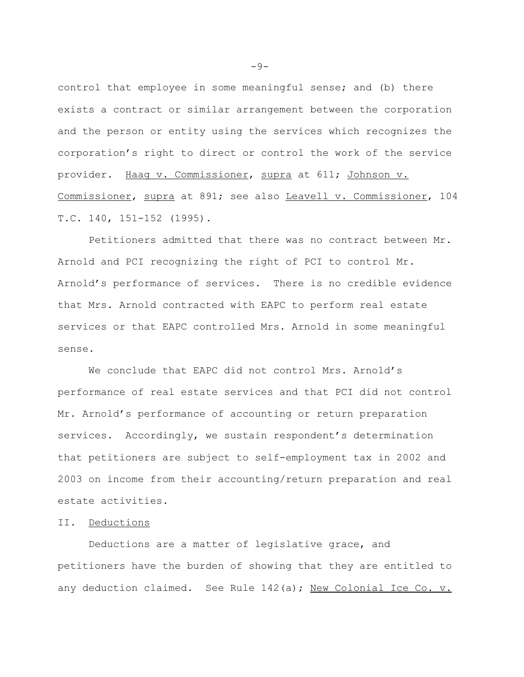control that employee in some meaningful sense; and (b) there exists a contract or similar arrangement between the corporation and the person or entity using the services which recognizes the corporation's right to direct or control the work of the service provider. Haag v. Commissioner, supra at 611; Johnson v. Commissioner, supra at 891; see also Leavell v. Commissioner, 104 T.C. 140, 151-152 (1995).

Petitioners admitted that there was no contract between Mr. Arnold and PCI recognizing the right of PCI to control Mr. Arnold's performance of services. There is no credible evidence that Mrs. Arnold contracted with EAPC to perform real estate services or that EAPC controlled Mrs. Arnold in some meaningful sense.

We conclude that EAPC did not control Mrs. Arnold's performance of real estate services and that PCI did not control Mr. Arnold's performance of accounting or return preparation services. Accordingly, we sustain respondent's determination that petitioners are subject to self-employment tax in 2002 and 2003 on income from their accounting/return preparation and real estate activities.

### II. Deductions

Deductions are a matter of legislative grace, and petitioners have the burden of showing that they are entitled to any deduction claimed. See Rule 142(a); New Colonial Ice Co. v.

 $-9-$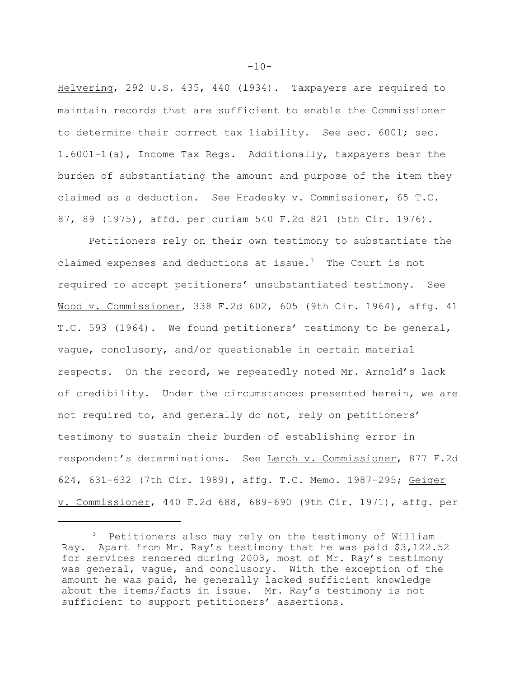Helvering, 292 U.S. 435, 440 (1934). Taxpayers are required to maintain records that are sufficient to enable the Commissioner to determine their correct tax liability. See sec. 6001; sec. 1.6001-1(a), Income Tax Regs. Additionally, taxpayers bear the burden of substantiating the amount and purpose of the item they claimed as a deduction. See Hradesky v. Commissioner, 65 T.C. 87, 89 (1975), affd. per curiam 540 F.2d 821 (5th Cir. 1976).

Petitioners rely on their own testimony to substantiate the claimed expenses and deductions at issue. $3$  The Court is not required to accept petitioners' unsubstantiated testimony. See Wood v. Commissioner, 338 F.2d 602, 605 (9th Cir. 1964), affg. 41 T.C. 593 (1964). We found petitioners' testimony to be general, vague, conclusory, and/or questionable in certain material respects. On the record, we repeatedly noted Mr. Arnold's lack of credibility. Under the circumstances presented herein, we are not required to, and generally do not, rely on petitioners' testimony to sustain their burden of establishing error in respondent's determinations. See Lerch v. Commissioner, 877 F.2d 624, 631-632 (7th Cir. 1989), affg. T.C. Memo. 1987-295; Geiger v. Commissioner, 440 F.2d 688, 689-690 (9th Cir. 1971), affg. per

 $-10-$ 

<sup>3</sup> Petitioners also may rely on the testimony of William Ray. Apart from Mr. Ray's testimony that he was paid \$3,122.52 for services rendered during 2003, most of Mr. Ray's testimony was general, vague, and conclusory. With the exception of the amount he was paid, he generally lacked sufficient knowledge about the items/facts in issue. Mr. Ray's testimony is not sufficient to support petitioners' assertions.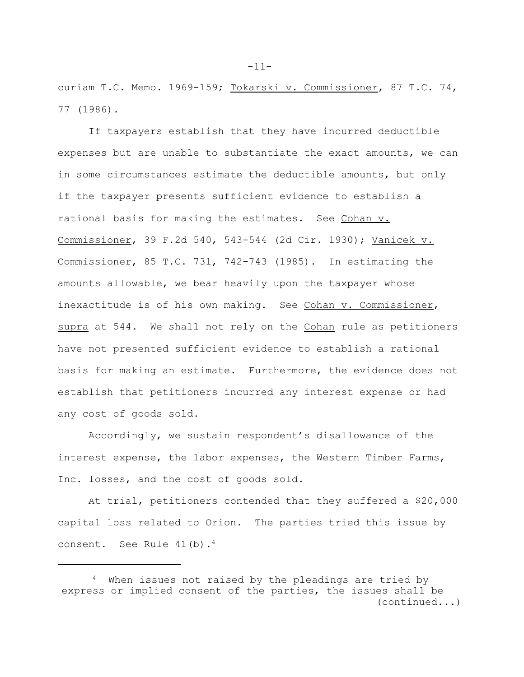curiam T.C. Memo. 1969-159; Tokarski v. Commissioner, 87 T.C. 74, 77 (1986).

If taxpayers establish that they have incurred deductible expenses but are unable to substantiate the exact amounts, we can in some circumstances estimate the deductible amounts, but only if the taxpayer presents sufficient evidence to establish a rational basis for making the estimates. See Cohan v. Commissioner, 39 F.2d 540, 543-544 (2d Cir. 1930); Vanicek v. Commissioner, 85 T.C. 731, 742-743 (1985). In estimating the amounts allowable, we bear heavily upon the taxpayer whose inexactitude is of his own making. See Cohan v. Commissioner, supra at 544. We shall not rely on the Cohan rule as petitioners have not presented sufficient evidence to establish a rational basis for making an estimate. Furthermore, the evidence does not establish that petitioners incurred any interest expense or had any cost of goods sold.

Accordingly, we sustain respondent's disallowance of the interest expense, the labor expenses, the Western Timber Farms, Inc. losses, and the cost of goods sold.

At trial, petitioners contended that they suffered a \$20,000 capital loss related to Orion. The parties tried this issue by consent. See Rule  $41(b)$ .<sup>4</sup>

-11-

When issues not raised by the pleadings are tried by express or implied consent of the parties, the issues shall be (continued...)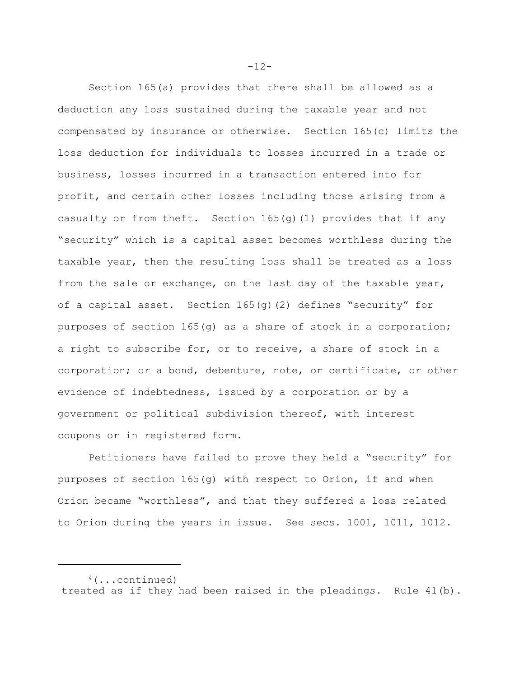Section 165(a) provides that there shall be allowed as a deduction any loss sustained during the taxable year and not compensated by insurance or otherwise. Section 165(c) limits the loss deduction for individuals to losses incurred in a trade or business, losses incurred in a transaction entered into for profit, and certain other losses including those arising from a casualty or from theft. Section  $165(q)(1)$  provides that if any "security" which is a capital asset becomes worthless during the taxable year, then the resulting loss shall be treated as a loss from the sale or exchange, on the last day of the taxable year, of a capital asset. Section 165(g)(2) defines "security" for purposes of section 165(g) as a share of stock in a corporation; a right to subscribe for, or to receive, a share of stock in a corporation; or a bond, debenture, note, or certificate, or other evidence of indebtedness, issued by a corporation or by a government or political subdivision thereof, with interest coupons or in registered form.

Petitioners have failed to prove they held a "security" for purposes of section 165(g) with respect to Orion, if and when Orion became "worthless", and that they suffered a loss related to Orion during the years in issue. See secs. 1001, 1011, 1012.

 $-12-$ 

 $4$ (...continued) treated as if they had been raised in the pleadings. Rule 41(b).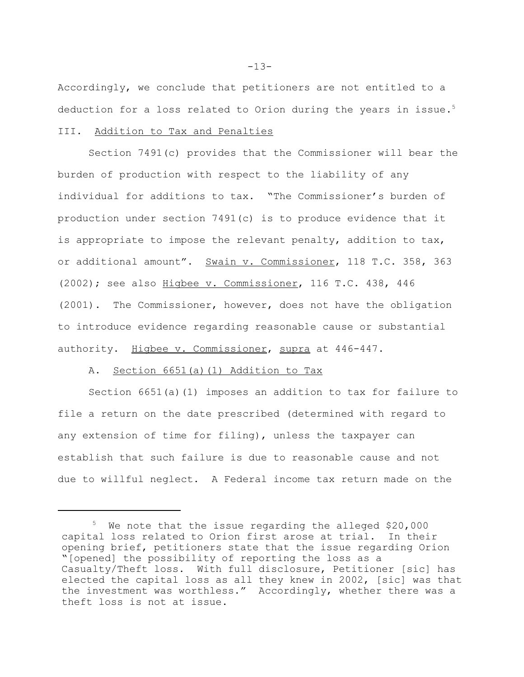Accordingly, we conclude that petitioners are not entitled to a deduction for a loss related to Orion during the years in issue.<sup>5</sup> III. Addition to Tax and Penalties

Section 7491(c) provides that the Commissioner will bear the burden of production with respect to the liability of any individual for additions to tax. "The Commissioner's burden of production under section 7491(c) is to produce evidence that it is appropriate to impose the relevant penalty, addition to tax, or additional amount". Swain v. Commissioner, 118 T.C. 358, 363 (2002); see also Higbee v. Commissioner, 116 T.C. 438, 446 (2001). The Commissioner, however, does not have the obligation to introduce evidence regarding reasonable cause or substantial authority. Higbee v. Commissioner, supra at 446-447.

#### A. Section 6651(a)(1) Addition to Tax

Section 6651(a)(1) imposes an addition to tax for failure to file a return on the date prescribed (determined with regard to any extension of time for filing), unless the taxpayer can establish that such failure is due to reasonable cause and not due to willful neglect. A Federal income tax return made on the

 $-13-$ 

<sup>&</sup>lt;sup>5</sup> We note that the issue regarding the alleged \$20,000 capital loss related to Orion first arose at trial. In their opening brief, petitioners state that the issue regarding Orion "[opened] the possibility of reporting the loss as a Casualty/Theft loss. With full disclosure, Petitioner [sic] has elected the capital loss as all they knew in 2002, [sic] was that the investment was worthless." Accordingly, whether there was a theft loss is not at issue.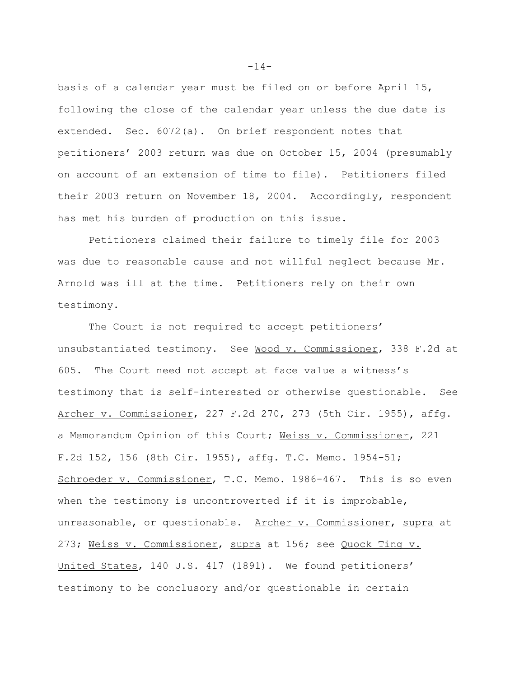basis of a calendar year must be filed on or before April 15, following the close of the calendar year unless the due date is extended. Sec. 6072(a). On brief respondent notes that petitioners' 2003 return was due on October 15, 2004 (presumably on account of an extension of time to file). Petitioners filed their 2003 return on November 18, 2004. Accordingly, respondent has met his burden of production on this issue.

Petitioners claimed their failure to timely file for 2003 was due to reasonable cause and not willful neglect because Mr. Arnold was ill at the time. Petitioners rely on their own testimony.

The Court is not required to accept petitioners' unsubstantiated testimony. See Wood v. Commissioner, 338 F.2d at 605. The Court need not accept at face value a witness's testimony that is self-interested or otherwise questionable. See Archer v. Commissioner, 227 F.2d 270, 273 (5th Cir. 1955), affg. a Memorandum Opinion of this Court; Weiss v. Commissioner, 221 F.2d 152, 156 (8th Cir. 1955), affg. T.C. Memo. 1954-51; Schroeder v. Commissioner, T.C. Memo. 1986-467. This is so even when the testimony is uncontroverted if it is improbable, unreasonable, or questionable. Archer v. Commissioner, supra at 273; Weiss v. Commissioner, supra at 156; see Quock Ting v. United States, 140 U.S. 417 (1891). We found petitioners' testimony to be conclusory and/or questionable in certain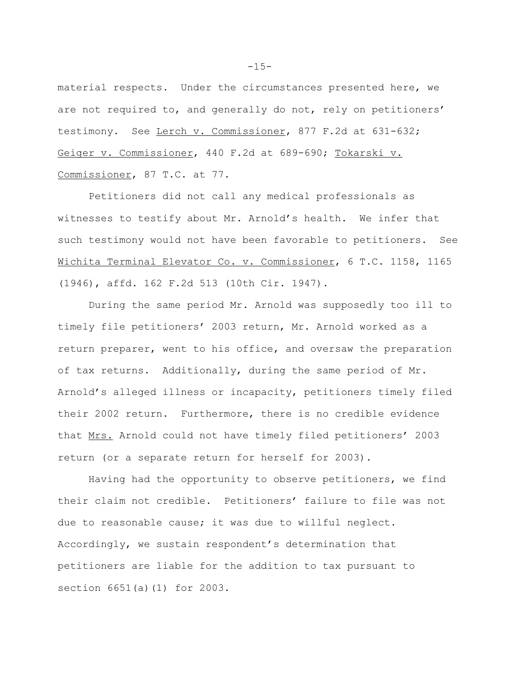material respects. Under the circumstances presented here, we are not required to, and generally do not, rely on petitioners' testimony. See Lerch v. Commissioner, 877 F.2d at 631-632; Geiger v. Commissioner, 440 F.2d at 689-690; Tokarski v. Commissioner, 87 T.C. at 77.

Petitioners did not call any medical professionals as witnesses to testify about Mr. Arnold's health. We infer that such testimony would not have been favorable to petitioners. See Wichita Terminal Elevator Co. v. Commissioner, 6 T.C. 1158, 1165 (1946), affd. 162 F.2d 513 (10th Cir. 1947).

During the same period Mr. Arnold was supposedly too ill to timely file petitioners' 2003 return, Mr. Arnold worked as a return preparer, went to his office, and oversaw the preparation of tax returns. Additionally, during the same period of Mr. Arnold's alleged illness or incapacity, petitioners timely filed their 2002 return. Furthermore, there is no credible evidence that Mrs. Arnold could not have timely filed petitioners' 2003 return (or a separate return for herself for 2003).

Having had the opportunity to observe petitioners, we find their claim not credible. Petitioners' failure to file was not due to reasonable cause; it was due to willful neglect. Accordingly, we sustain respondent's determination that petitioners are liable for the addition to tax pursuant to section 6651(a)(1) for 2003.

 $-15-$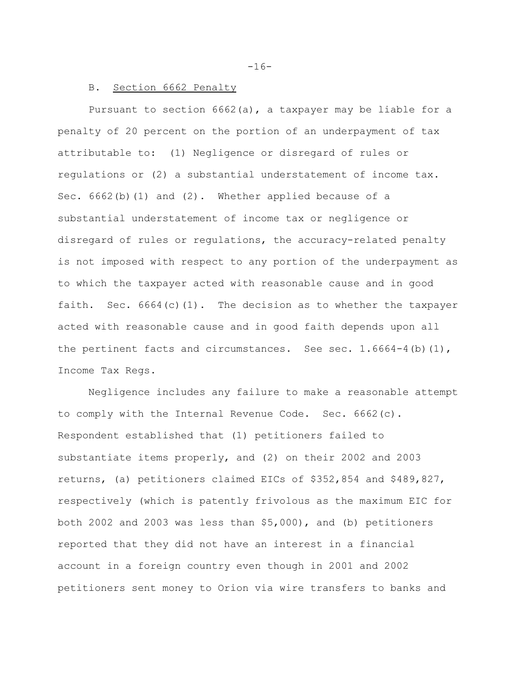## B. Section 6662 Penalty

Pursuant to section 6662(a), a taxpayer may be liable for a penalty of 20 percent on the portion of an underpayment of tax attributable to: (1) Negligence or disregard of rules or regulations or (2) a substantial understatement of income tax. Sec.  $6662(b)(1)$  and  $(2)$ . Whether applied because of a substantial understatement of income tax or negligence or disregard of rules or regulations, the accuracy-related penalty is not imposed with respect to any portion of the underpayment as to which the taxpayer acted with reasonable cause and in good faith. Sec. 6664(c)(1). The decision as to whether the taxpayer acted with reasonable cause and in good faith depends upon all the pertinent facts and circumstances. See sec.  $1.6664-4$  (b)  $(1)$ , Income Tax Regs.

Negligence includes any failure to make a reasonable attempt to comply with the Internal Revenue Code. Sec. 6662(c). Respondent established that (1) petitioners failed to substantiate items properly, and (2) on their 2002 and 2003 returns, (a) petitioners claimed EICs of \$352,854 and \$489,827, respectively (which is patently frivolous as the maximum EIC for both 2002 and 2003 was less than \$5,000), and (b) petitioners reported that they did not have an interest in a financial account in a foreign country even though in 2001 and 2002 petitioners sent money to Orion via wire transfers to banks and

 $-16-$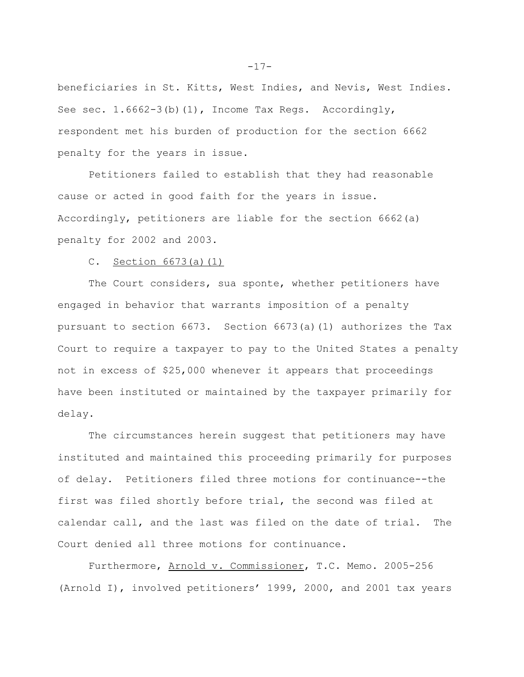beneficiaries in St. Kitts, West Indies, and Nevis, West Indies. See sec. 1.6662-3(b)(1), Income Tax Regs. Accordingly, respondent met his burden of production for the section 6662 penalty for the years in issue.

Petitioners failed to establish that they had reasonable cause or acted in good faith for the years in issue. Accordingly, petitioners are liable for the section 6662(a) penalty for 2002 and 2003.

C. Section 6673(a)(1)

The Court considers, sua sponte, whether petitioners have engaged in behavior that warrants imposition of a penalty pursuant to section 6673. Section 6673(a)(1) authorizes the Tax Court to require a taxpayer to pay to the United States a penalty not in excess of \$25,000 whenever it appears that proceedings have been instituted or maintained by the taxpayer primarily for delay.

The circumstances herein suggest that petitioners may have instituted and maintained this proceeding primarily for purposes of delay. Petitioners filed three motions for continuance--the first was filed shortly before trial, the second was filed at calendar call, and the last was filed on the date of trial. The Court denied all three motions for continuance.

Furthermore, Arnold v. Commissioner, T.C. Memo. 2005-256 (Arnold I), involved petitioners' 1999, 2000, and 2001 tax years

-17-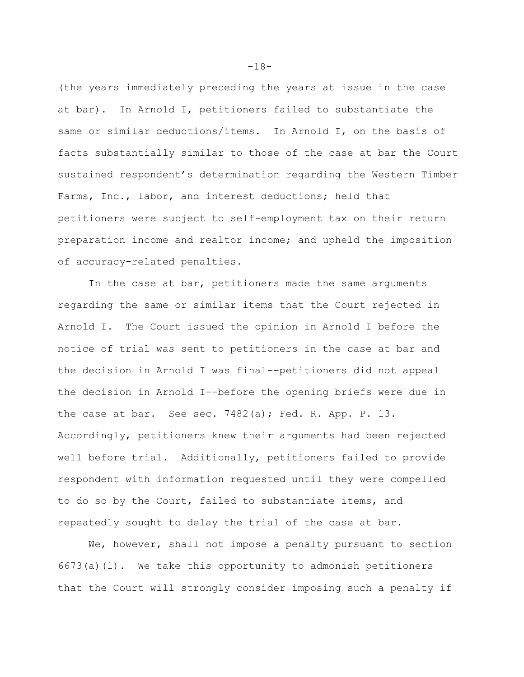(the years immediately preceding the years at issue in the case at bar). In Arnold I, petitioners failed to substantiate the same or similar deductions/items. In Arnold I, on the basis of facts substantially similar to those of the case at bar the Court sustained respondent's determination regarding the Western Timber Farms, Inc., labor, and interest deductions; held that petitioners were subject to self-employment tax on their return preparation income and realtor income; and upheld the imposition of accuracy-related penalties.

In the case at bar, petitioners made the same arguments regarding the same or similar items that the Court rejected in Arnold I. The Court issued the opinion in Arnold I before the notice of trial was sent to petitioners in the case at bar and the decision in Arnold I was final--petitioners did not appeal the decision in Arnold I--before the opening briefs were due in the case at bar. See sec. 7482(a); Fed. R. App. P. 13. Accordingly, petitioners knew their arguments had been rejected well before trial. Additionally, petitioners failed to provide respondent with information requested until they were compelled to do so by the Court, failed to substantiate items, and repeatedly sought to delay the trial of the case at bar.

We, however, shall not impose a penalty pursuant to section 6673(a)(1). We take this opportunity to admonish petitioners that the Court will strongly consider imposing such a penalty if

-18-